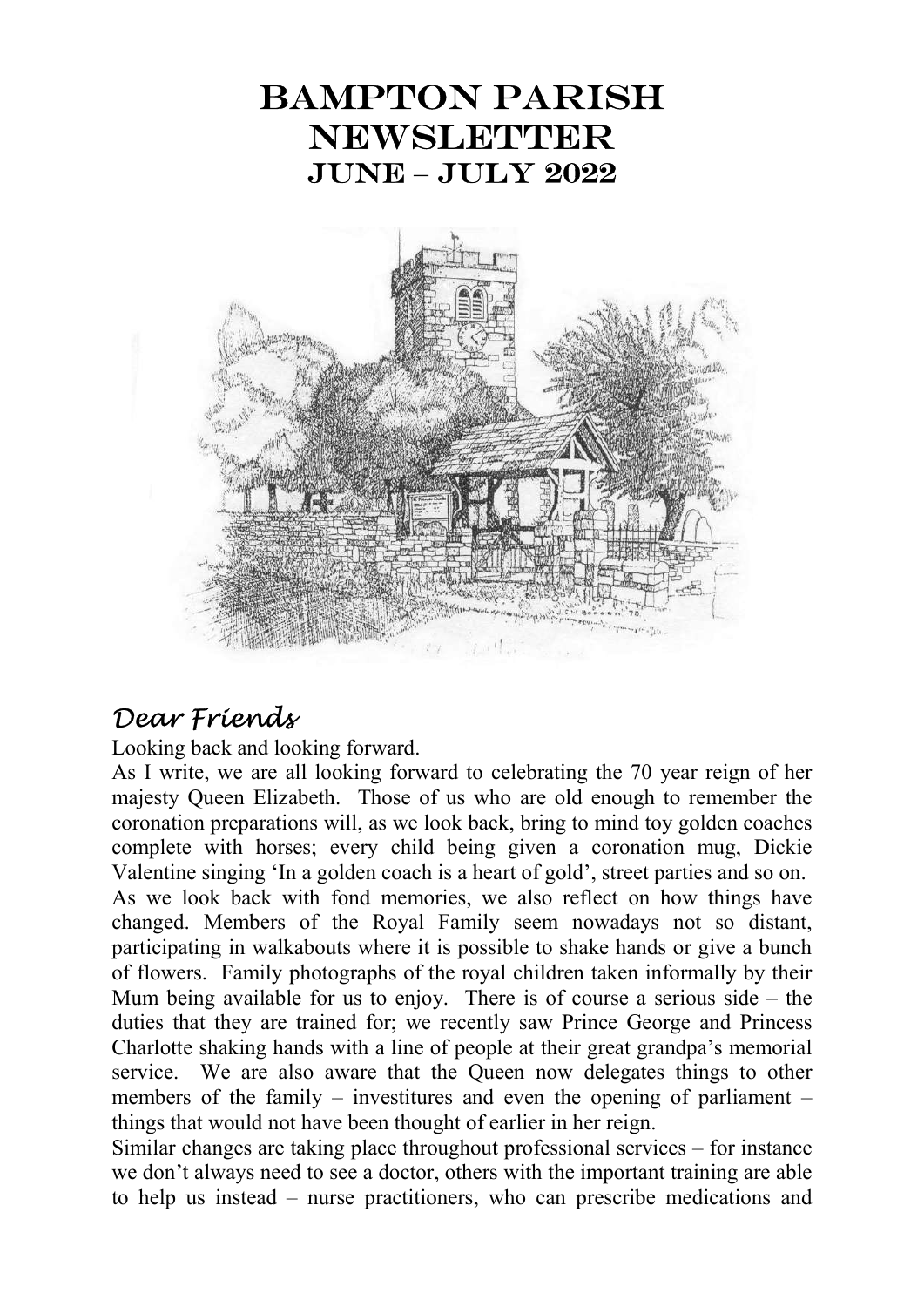# Bampton Parish **NEWSLETTER** JUNE – JULY 2022



# Dear Friends

Looking back and looking forward.

As I write, we are all looking forward to celebrating the 70 year reign of her majesty Queen Elizabeth. Those of us who are old enough to remember the coronation preparations will, as we look back, bring to mind toy golden coaches complete with horses; every child being given a coronation mug, Dickie Valentine singing 'In a golden coach is a heart of gold', street parties and so on.

As we look back with fond memories, we also reflect on how things have changed. Members of the Royal Family seem nowadays not so distant, participating in walkabouts where it is possible to shake hands or give a bunch of flowers. Family photographs of the royal children taken informally by their Mum being available for us to enjoy. There is of course a serious side – the duties that they are trained for; we recently saw Prince George and Princess Charlotte shaking hands with a line of people at their great grandpa's memorial service. We are also aware that the Queen now delegates things to other members of the family – investitures and even the opening of parliament – things that would not have been thought of earlier in her reign.

Similar changes are taking place throughout professional services – for instance we don't always need to see a doctor, others with the important training are able to help us instead – nurse practitioners, who can prescribe medications and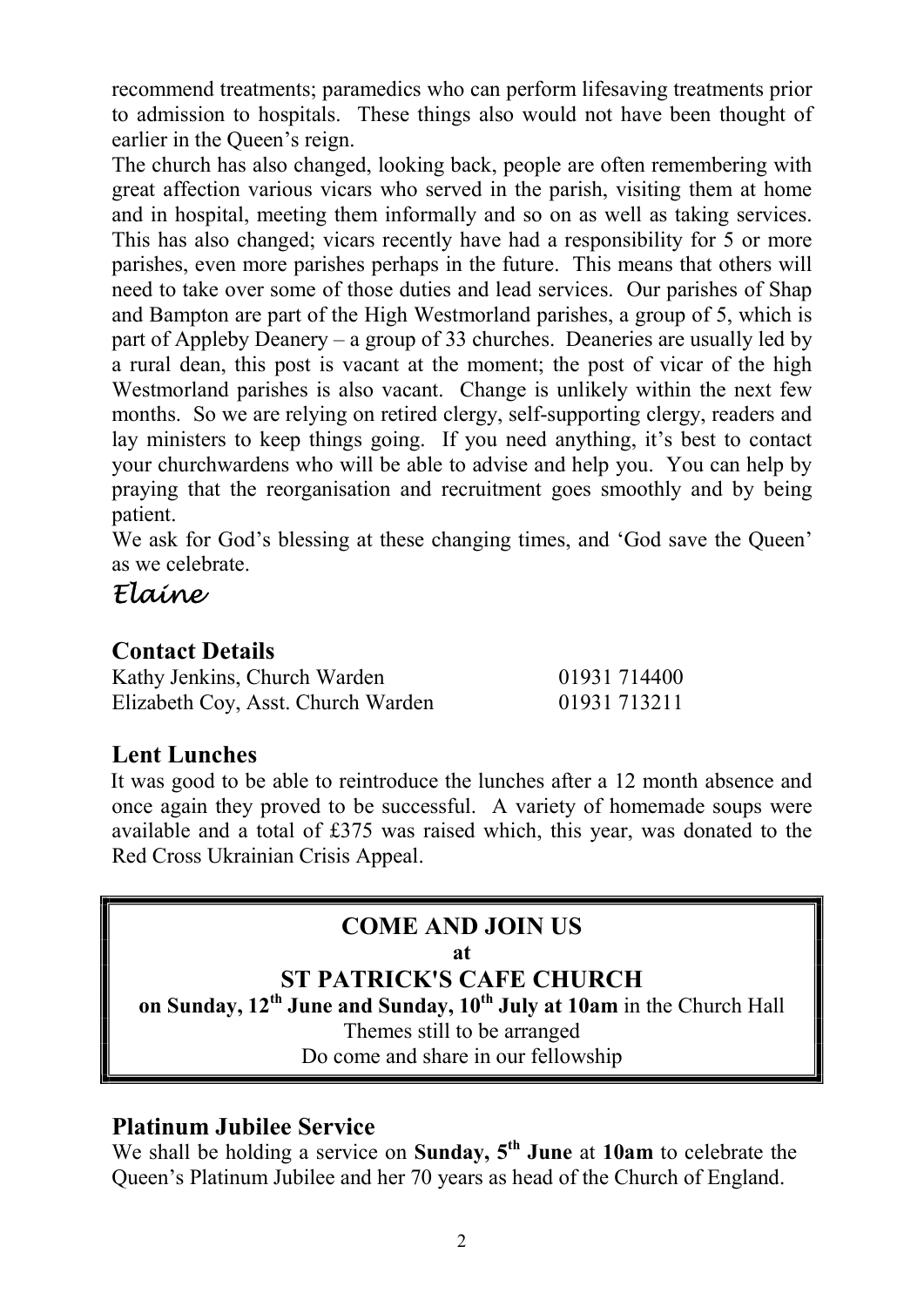recommend treatments; paramedics who can perform lifesaving treatments prior to admission to hospitals. These things also would not have been thought of earlier in the Queen's reign.

The church has also changed, looking back, people are often remembering with great affection various vicars who served in the parish, visiting them at home and in hospital, meeting them informally and so on as well as taking services. This has also changed; vicars recently have had a responsibility for 5 or more parishes, even more parishes perhaps in the future. This means that others will need to take over some of those duties and lead services. Our parishes of Shap and Bampton are part of the High Westmorland parishes, a group of 5, which is part of Appleby Deanery – a group of 33 churches. Deaneries are usually led by a rural dean, this post is vacant at the moment; the post of vicar of the high Westmorland parishes is also vacant. Change is unlikely within the next few months. So we are relying on retired clergy, self-supporting clergy, readers and lay ministers to keep things going. If you need anything, it's best to contact your churchwardens who will be able to advise and help you. You can help by praying that the reorganisation and recruitment goes smoothly and by being patient.

We ask for God's blessing at these changing times, and 'God save the Queen' as we celebrate.

# Elaine

#### Contact Details

| Kathy Jenkins, Church Warden       | 01931 714400 |
|------------------------------------|--------------|
| Elizabeth Coy, Asst. Church Warden | 01931 713211 |

## Lent Lunches

It was good to be able to reintroduce the lunches after a 12 month absence and once again they proved to be successful. A variety of homemade soups were available and a total of £375 was raised which, this year, was donated to the Red Cross Ukrainian Crisis Appeal.

#### COME AND JOIN US

#### at

#### ST PATRICK'S CAFE CHURCH

on Sunday,  $12^{th}$  June and Sunday,  $10^{th}$  July at 10am in the Church Hall

Themes still to be arranged

Do come and share in our fellowship

#### Platinum Jubilee Service

We shall be holding a service on Sunday,  $5<sup>th</sup>$  June at 10am to celebrate the Queen's Platinum Jubilee and her 70 years as head of the Church of England.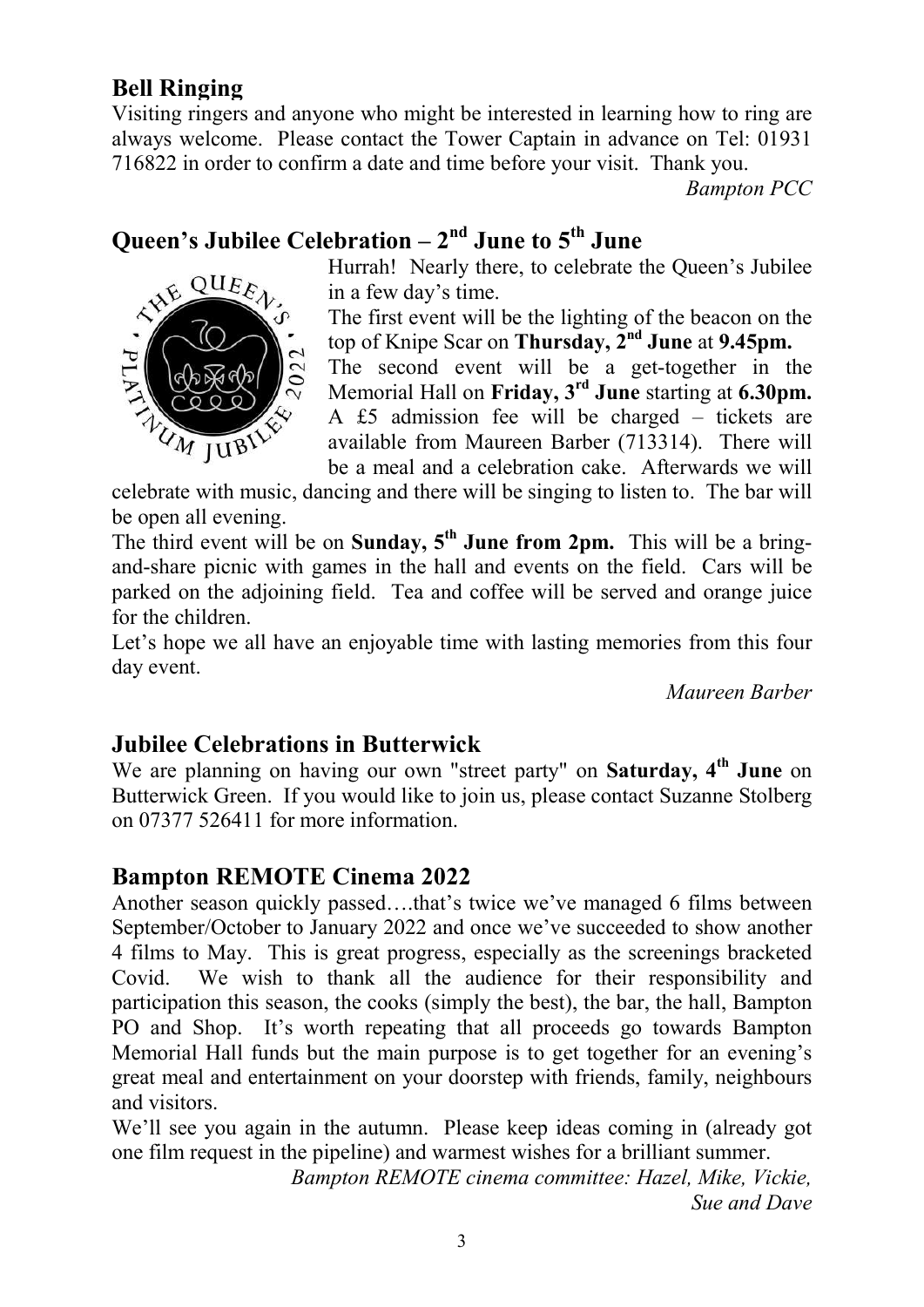#### Bell Ringing

ANE

**PLA** 

 $QUEE_A$ 

UM JUBIN

Visiting ringers and anyone who might be interested in learning how to ring are always welcome. Please contact the Tower Captain in advance on Tel: 01931 716822 in order to confirm a date and time before your visit. Thank you.

Bampton PCC

# Queen's Jubilee Celebration  $-2<sup>nd</sup>$  June to  $5<sup>th</sup>$  June

Hurrah! Nearly there, to celebrate the Queen's Jubilee in a few day's time.



The second event will be a get-together in the Memorial Hall on Friday, 3<sup>rd</sup> June starting at 6.30pm. A £5 admission fee will be charged – tickets are available from Maureen Barber (713314). There will be a meal and a celebration cake. Afterwards we will

celebrate with music, dancing and there will be singing to listen to. The bar will be open all evening.

The third event will be on Sunday,  $5<sup>th</sup>$  June from 2pm. This will be a bringand-share picnic with games in the hall and events on the field. Cars will be parked on the adjoining field. Tea and coffee will be served and orange juice for the children.

Let's hope we all have an enjoyable time with lasting memories from this four day event.

Maureen Barber

#### Jubilee Celebrations in Butterwick

We are planning on having our own "street party" on Saturday,  $4<sup>th</sup>$  June on Butterwick Green. If you would like to join us, please contact Suzanne Stolberg on 07377 526411 for more information.

#### Bampton REMOTE Cinema 2022

Another season quickly passed….that's twice we've managed 6 films between September/October to January 2022 and once we've succeeded to show another 4 films to May. This is great progress, especially as the screenings bracketed Covid. We wish to thank all the audience for their responsibility and participation this season, the cooks (simply the best), the bar, the hall, Bampton PO and Shop. It's worth repeating that all proceeds go towards Bampton Memorial Hall funds but the main purpose is to get together for an evening's great meal and entertainment on your doorstep with friends, family, neighbours and visitors.

We'll see you again in the autumn. Please keep ideas coming in (already got one film request in the pipeline) and warmest wishes for a brilliant summer.

> Bampton REMOTE cinema committee: Hazel, Mike, Vickie, Sue and Dave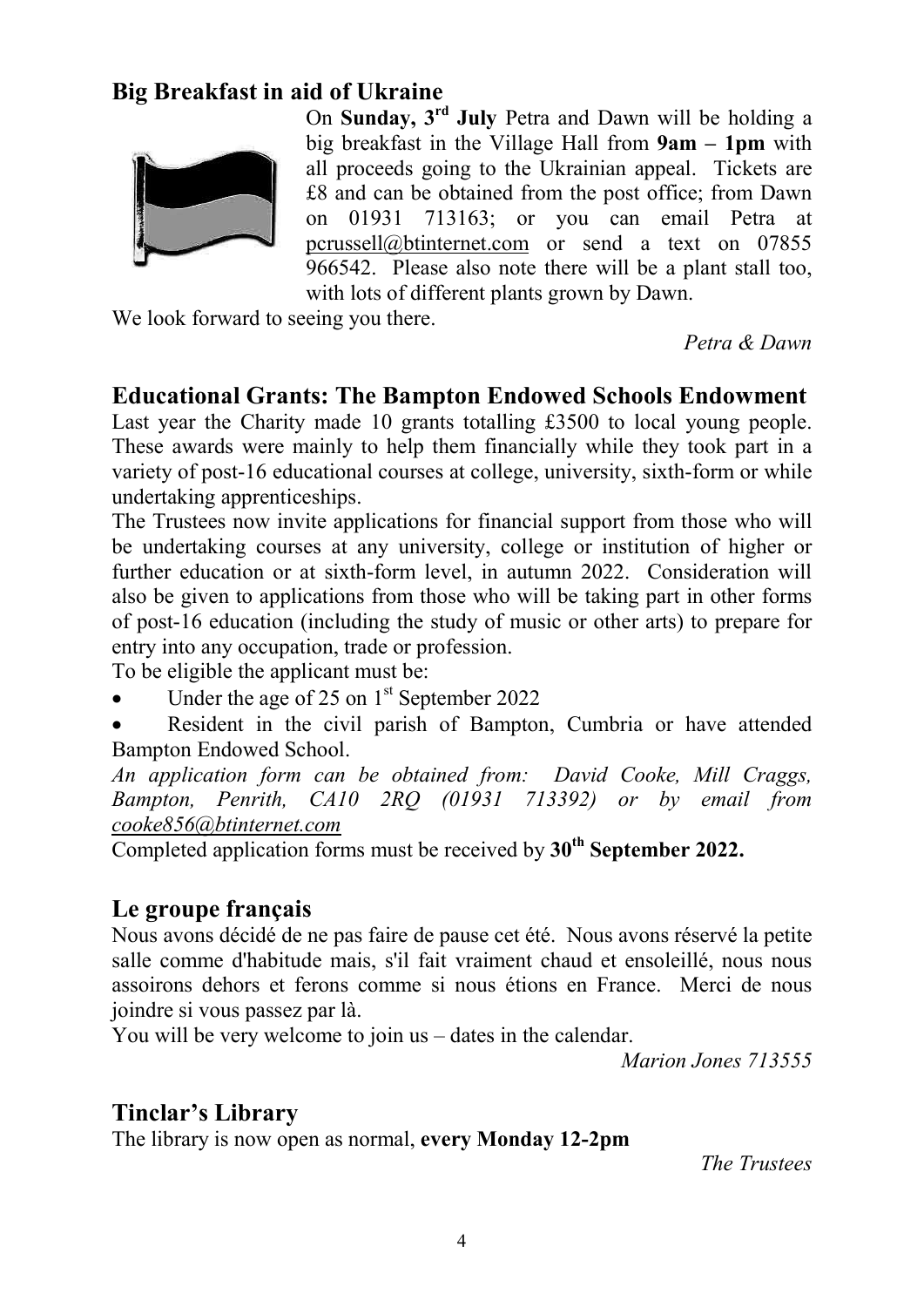#### Big Breakfast in aid of Ukraine



On Sunday, 3rd July Petra and Dawn will be holding a big breakfast in the Village Hall from 9am – 1pm with all proceeds going to the Ukrainian appeal. Tickets are £8 and can be obtained from the post office; from Dawn on 01931 713163; or you can email Petra at pcrussell@btinternet.com or send a text on 07855 966542. Please also note there will be a plant stall too, with lots of different plants grown by Dawn.

We look forward to seeing you there.

Petra & Dawn

#### Educational Grants: The Bampton Endowed Schools Endowment

Last year the Charity made 10 grants totalling £3500 to local young people. These awards were mainly to help them financially while they took part in a variety of post-16 educational courses at college, university, sixth-form or while undertaking apprenticeships.

The Trustees now invite applications for financial support from those who will be undertaking courses at any university, college or institution of higher or further education or at sixth-form level, in autumn 2022. Consideration will also be given to applications from those who will be taking part in other forms of post-16 education (including the study of music or other arts) to prepare for entry into any occupation, trade or profession.

To be eligible the applicant must be:

- Under the age of 25 on  $1<sup>st</sup>$  September 2022
- Resident in the civil parish of Bampton, Cumbria or have attended Bampton Endowed School.

An application form can be obtained from: David Cooke, Mill Craggs, Bampton, Penrith, CA10 2RQ (01931 713392) or by email from cooke856@btinternet.com

Completed application forms must be received by  $30<sup>th</sup>$  September 2022.

#### Le groupe français

Nous avons décidé de ne pas faire de pause cet été. Nous avons réservé la petite salle comme d'habitude mais, s'il fait vraiment chaud et ensoleillé, nous nous assoirons dehors et ferons comme si nous étions en France. Merci de nous joindre si vous passez par là.

You will be very welcome to join us – dates in the calendar.

Marion Jones 713555

#### Tinclar's Library

The library is now open as normal, every Monday 12-2pm

The Trustees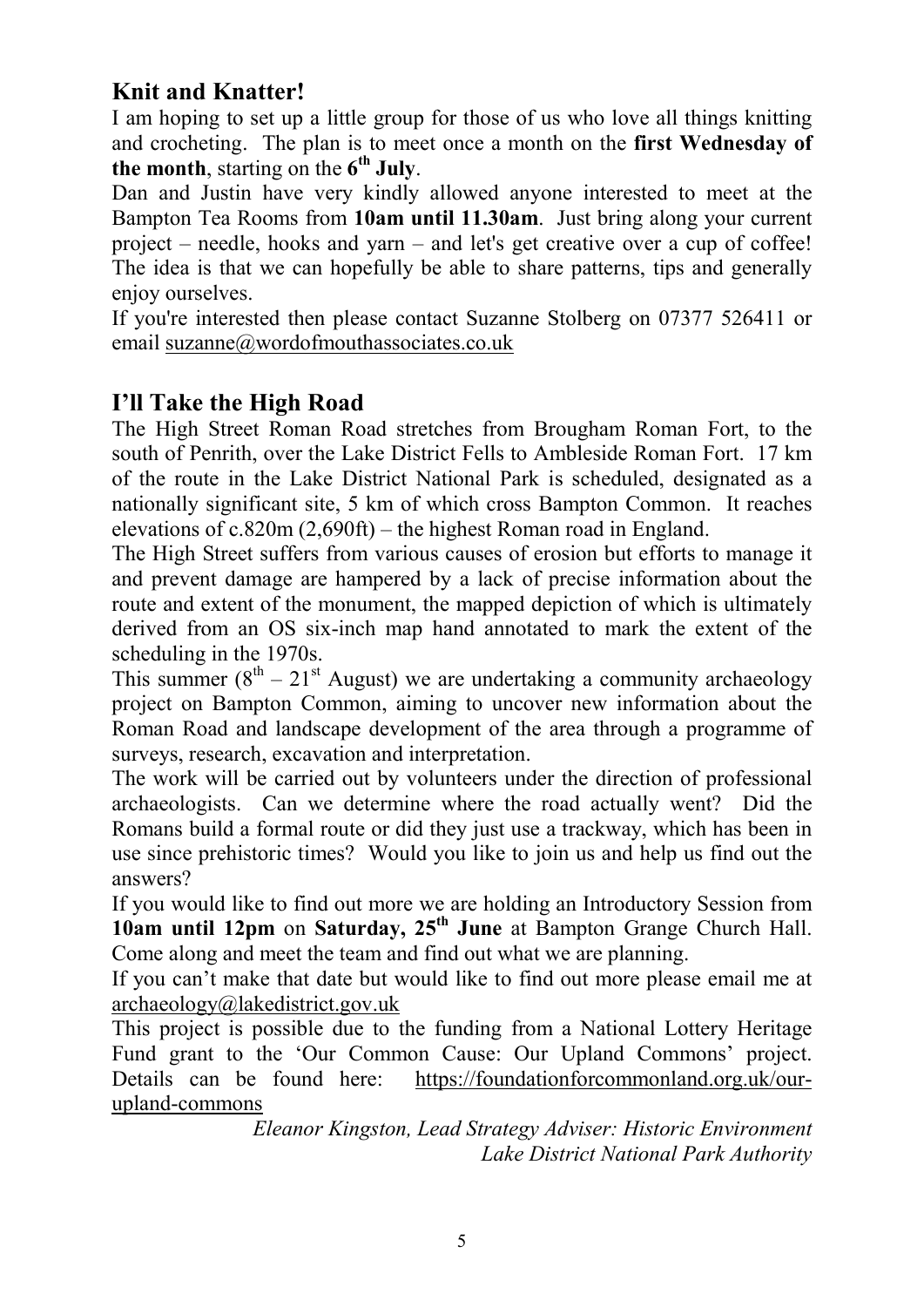## Knit and Knatter!

I am hoping to set up a little group for those of us who love all things knitting and crocheting. The plan is to meet once a month on the first Wednesday of the month, starting on the  $6<sup>th</sup>$  July.

Dan and Justin have very kindly allowed anyone interested to meet at the Bampton Tea Rooms from 10am until 11.30am. Just bring along your current project – needle, hooks and yarn – and let's get creative over a cup of coffee! The idea is that we can hopefully be able to share patterns, tips and generally enjoy ourselves.

If you're interested then please contact Suzanne Stolberg on 07377 526411 or email suzanne@wordofmouthassociates.co.uk

## I'll Take the High Road

The High Street Roman Road stretches from Brougham Roman Fort, to the south of Penrith, over the Lake District Fells to Ambleside Roman Fort. 17 km of the route in the Lake District National Park is scheduled, designated as a nationally significant site, 5 km of which cross Bampton Common. It reaches elevations of c.820m (2,690ft) – the highest Roman road in England.

The High Street suffers from various causes of erosion but efforts to manage it and prevent damage are hampered by a lack of precise information about the route and extent of the monument, the mapped depiction of which is ultimately derived from an OS six-inch map hand annotated to mark the extent of the scheduling in the 1970s.

This summer  $(8^{th} - 21^{st}$  August) we are undertaking a community archaeology project on Bampton Common, aiming to uncover new information about the Roman Road and landscape development of the area through a programme of surveys, research, excavation and interpretation.

The work will be carried out by volunteers under the direction of professional archaeologists. Can we determine where the road actually went? Did the Romans build a formal route or did they just use a trackway, which has been in use since prehistoric times? Would you like to join us and help us find out the answers?

If you would like to find out more we are holding an Introductory Session from 10am until 12pm on Saturday,  $25<sup>th</sup>$  June at Bampton Grange Church Hall. Come along and meet the team and find out what we are planning.

If you can't make that date but would like to find out more please email me at archaeology@lakedistrict.gov.uk

This project is possible due to the funding from a National Lottery Heritage Fund grant to the 'Our Common Cause: Our Upland Commons' project. Details can be found here: https://foundationforcommonland.org.uk/ourupland-commons

Eleanor Kingston, Lead Strategy Adviser: Historic Environment Lake District National Park Authority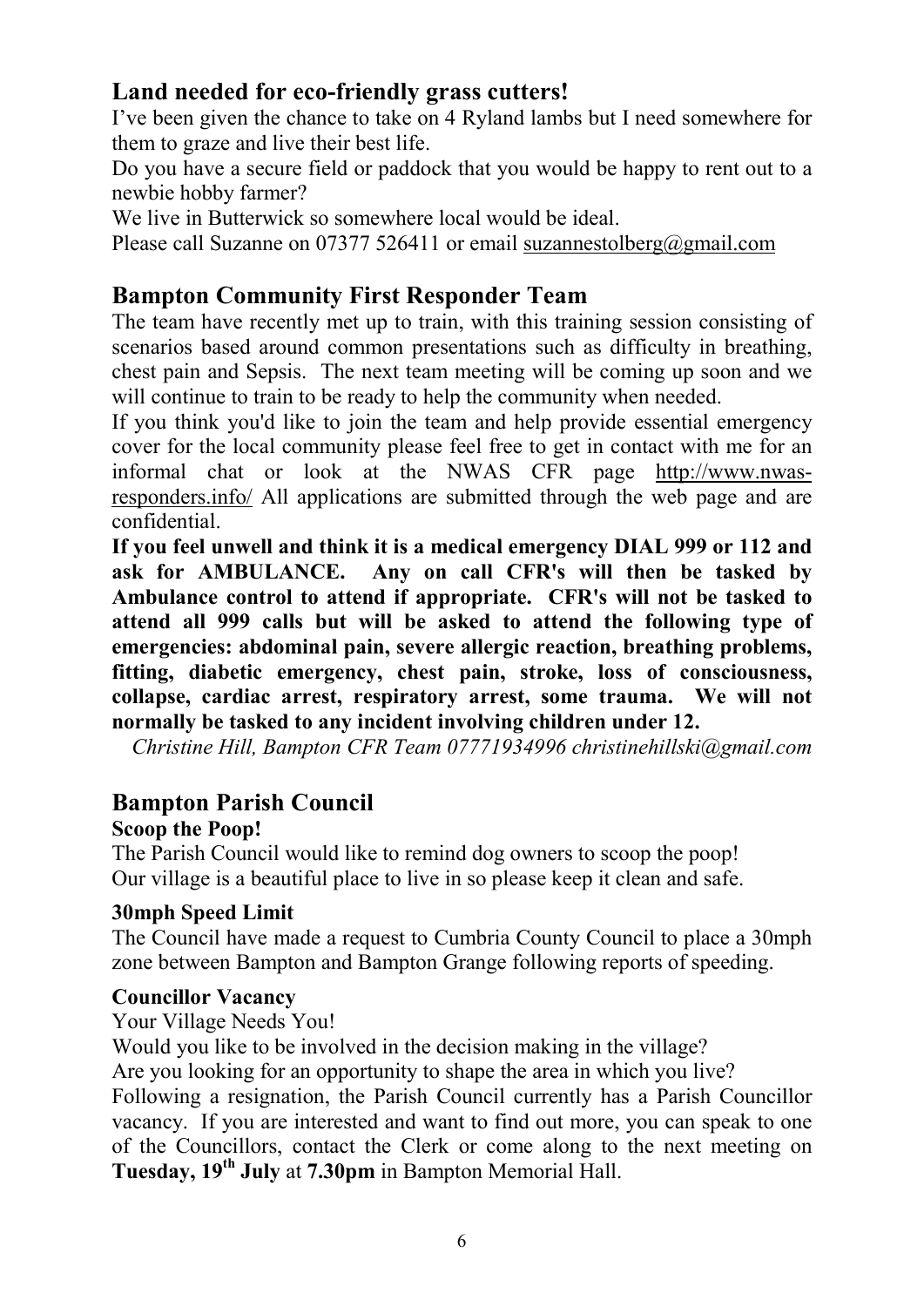#### Land needed for eco-friendly grass cutters!

I've been given the chance to take on 4 Ryland lambs but I need somewhere for them to graze and live their best life.

Do you have a secure field or paddock that you would be happy to rent out to a newbie hobby farmer?

We live in Butterwick so somewhere local would be ideal.

Please call Suzanne on 07377 526411 or email suzannestolberg@gmail.com

#### Bampton Community First Responder Team

The team have recently met up to train, with this training session consisting of scenarios based around common presentations such as difficulty in breathing, chest pain and Sepsis. The next team meeting will be coming up soon and we will continue to train to be ready to help the community when needed.

If you think you'd like to join the team and help provide essential emergency cover for the local community please feel free to get in contact with me for an informal chat or look at the NWAS CFR page http://www.nwasresponders.info/ All applications are submitted through the web page and are confidential.

If you feel unwell and think it is a medical emergency DIAL 999 or 112 and ask for AMBULANCE. Any on call CFR's will then be tasked by Ambulance control to attend if appropriate. CFR's will not be tasked to attend all 999 calls but will be asked to attend the following type of emergencies: abdominal pain, severe allergic reaction, breathing problems, fitting, diabetic emergency, chest pain, stroke, loss of consciousness, collapse, cardiac arrest, respiratory arrest, some trauma. We will not normally be tasked to any incident involving children under 12.

Christine Hill, Bampton CFR Team 07771934996 christinehillski@gmail.com

#### Bampton Parish Council

#### Scoop the Poop!

The Parish Council would like to remind dog owners to scoop the poop! Our village is a beautiful place to live in so please keep it clean and safe.

#### 30mph Speed Limit

The Council have made a request to Cumbria County Council to place a 30mph zone between Bampton and Bampton Grange following reports of speeding.

#### Councillor Vacancy

#### Your Village Needs You!

Would you like to be involved in the decision making in the village? Are you looking for an opportunity to shape the area in which you live? Following a resignation, the Parish Council currently has a Parish Councillor vacancy. If you are interested and want to find out more, you can speak to one of the Councillors, contact the Clerk or come along to the next meeting on Tuesday, 19<sup>th</sup> July at 7.30pm in Bampton Memorial Hall.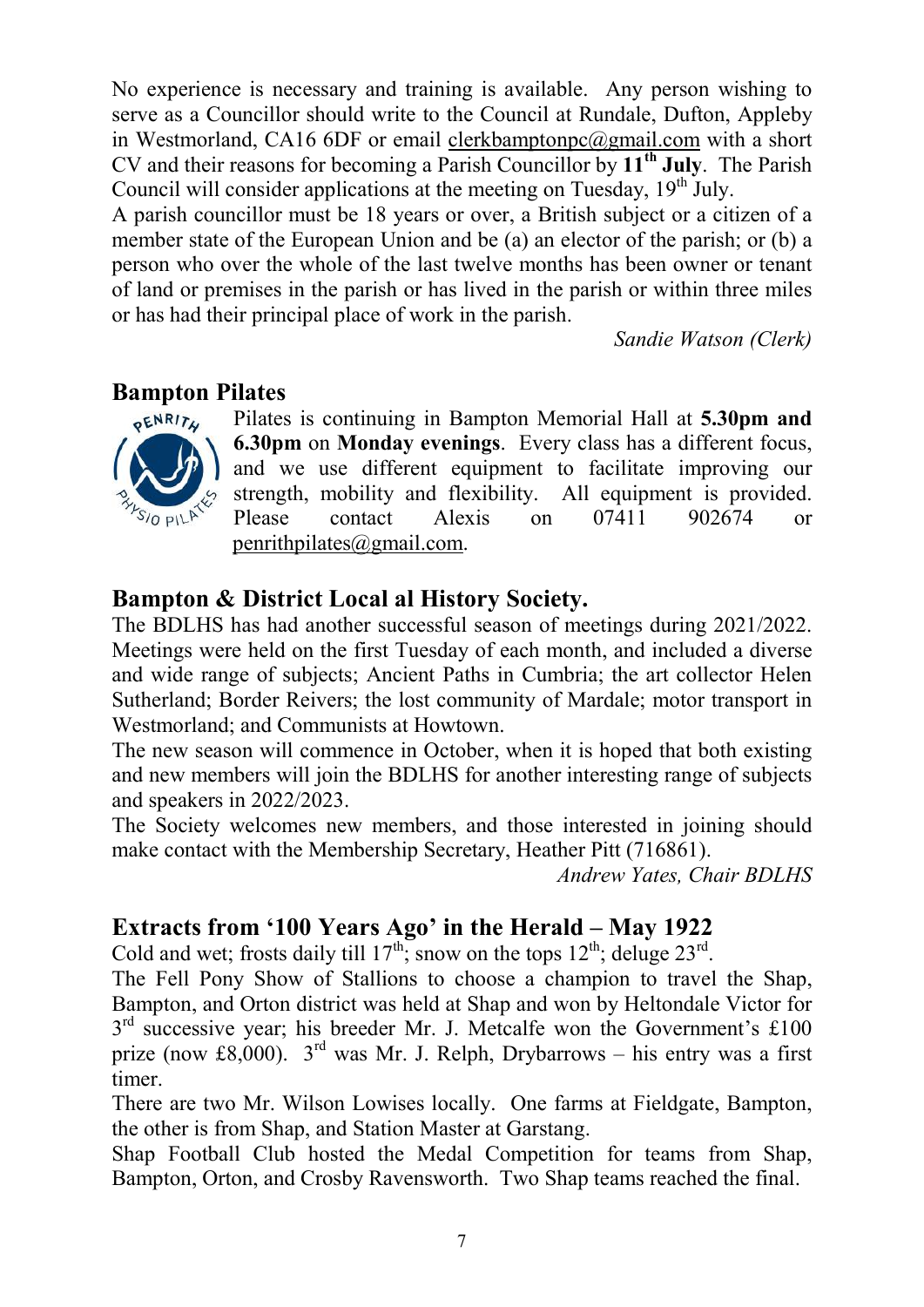No experience is necessary and training is available. Any person wishing to serve as a Councillor should write to the Council at Rundale, Dufton, Appleby in Westmorland, CA16 6DF or email clerkbamptonpc@gmail.com with a short CV and their reasons for becoming a Parish Councillor by  $11<sup>th</sup>$  July. The Parish Council will consider applications at the meeting on Tuesday,  $19<sup>th</sup>$  July.

A parish councillor must be 18 years or over, a British subject or a citizen of a member state of the European Union and be (a) an elector of the parish; or (b) a person who over the whole of the last twelve months has been owner or tenant of land or premises in the parish or has lived in the parish or within three miles or has had their principal place of work in the parish.

Sandie Watson (Clerk)

#### Bampton Pilates



Pilates is continuing in Bampton Memorial Hall at 5.30pm and 6.30pm on Monday evenings. Every class has a different focus, and we use different equipment to facilitate improving our strength, mobility and flexibility. All equipment is provided. Please contact Alexis on 07411 902674 or penrithpilates@gmail.com.

## Bampton & District Local al History Society.

The BDLHS has had another successful season of meetings during 2021/2022. Meetings were held on the first Tuesday of each month, and included a diverse and wide range of subjects; Ancient Paths in Cumbria; the art collector Helen Sutherland; Border Reivers; the lost community of Mardale; motor transport in Westmorland; and Communists at Howtown.

The new season will commence in October, when it is hoped that both existing and new members will join the BDLHS for another interesting range of subjects and speakers in 2022/2023.

The Society welcomes new members, and those interested in joining should make contact with the Membership Secretary, Heather Pitt (716861).

Andrew Yates, Chair BDLHS

#### Extracts from '100 Years Ago' in the Herald – May 1922

Cold and wet; frosts daily till  $17^{th}$ ; snow on the tops  $12^{th}$ ; deluge  $23^{rd}$ .

The Fell Pony Show of Stallions to choose a champion to travel the Shap, Bampton, and Orton district was held at Shap and won by Heltondale Victor for 3<sup>rd</sup> successive year; his breeder Mr. J. Metcalfe won the Government's £100 prize (now £8,000).  $3^{rd}$  was Mr. J. Relph, Drybarrows – his entry was a first timer.

There are two Mr. Wilson Lowises locally. One farms at Fieldgate, Bampton, the other is from Shap, and Station Master at Garstang.

Shap Football Club hosted the Medal Competition for teams from Shap, Bampton, Orton, and Crosby Ravensworth. Two Shap teams reached the final.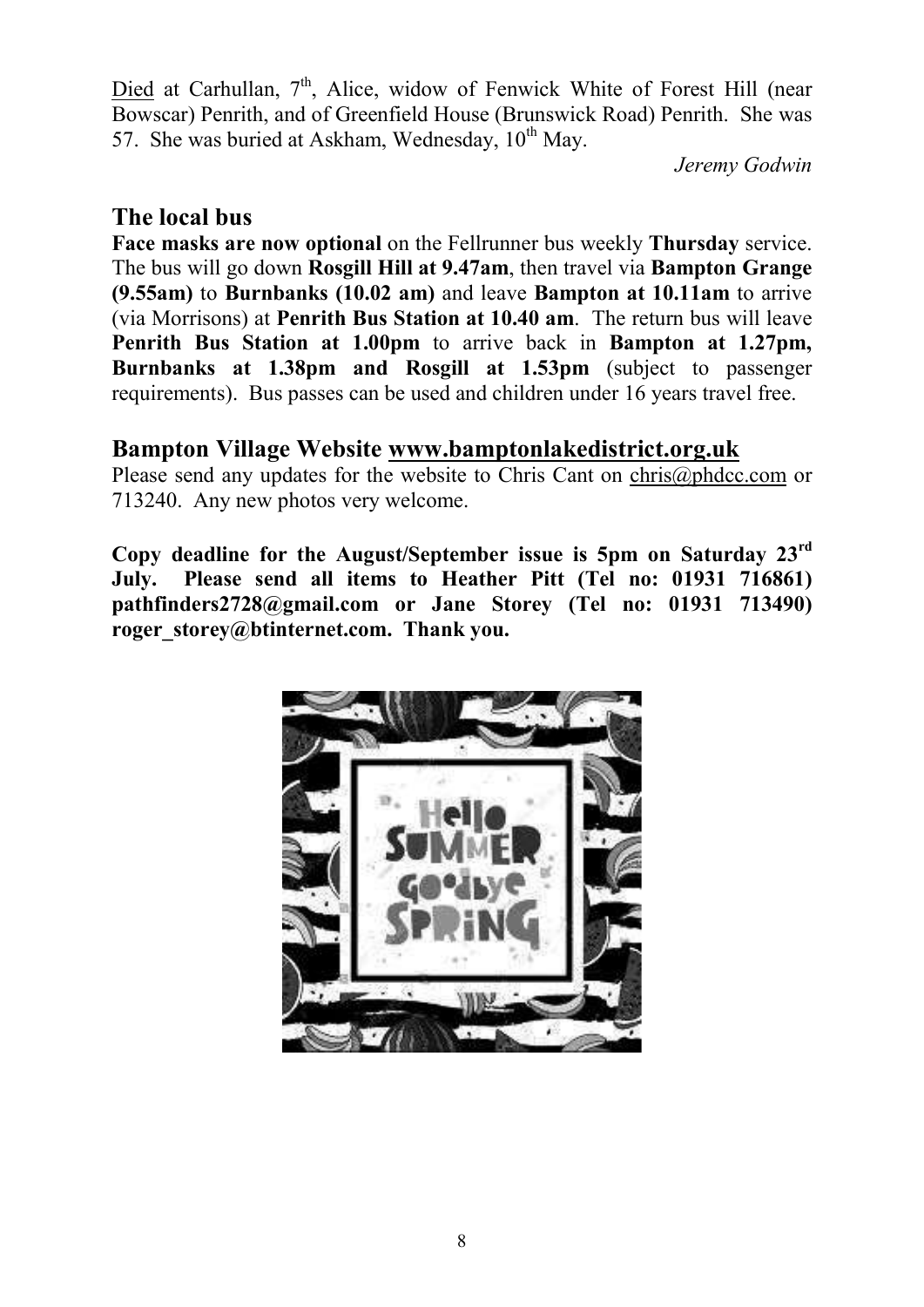Died at Carhullan, 7<sup>th</sup>, Alice, widow of Fenwick White of Forest Hill (near Bowscar) Penrith, and of Greenfield House (Brunswick Road) Penrith. She was 57. She was buried at Askham, Wednesday,  $10^{th}$  May.

Jeremy Godwin

#### The local bus

Face masks are now optional on the Fellrunner bus weekly Thursday service. The bus will go down Rosgill Hill at 9.47am, then travel via Bampton Grange (9.55am) to Burnbanks (10.02 am) and leave Bampton at 10.11am to arrive (via Morrisons) at Penrith Bus Station at 10.40 am. The return bus will leave Penrith Bus Station at 1.00pm to arrive back in Bampton at 1.27pm, Burnbanks at 1.38pm and Rosgill at 1.53pm (subject to passenger requirements). Bus passes can be used and children under 16 years travel free.

#### Bampton Village Website www.bamptonlakedistrict.org.uk

Please send any updates for the website to Chris Cant on chris@phdcc.com or 713240. Any new photos very welcome.

Copy deadline for the August/September issue is 5pm on Saturday 23rd July. Please send all items to Heather Pitt (Tel no: 01931 716861) pathfinders2728@gmail.com or Jane Storey (Tel no: 01931 713490) roger\_storey@btinternet.com. Thank you.

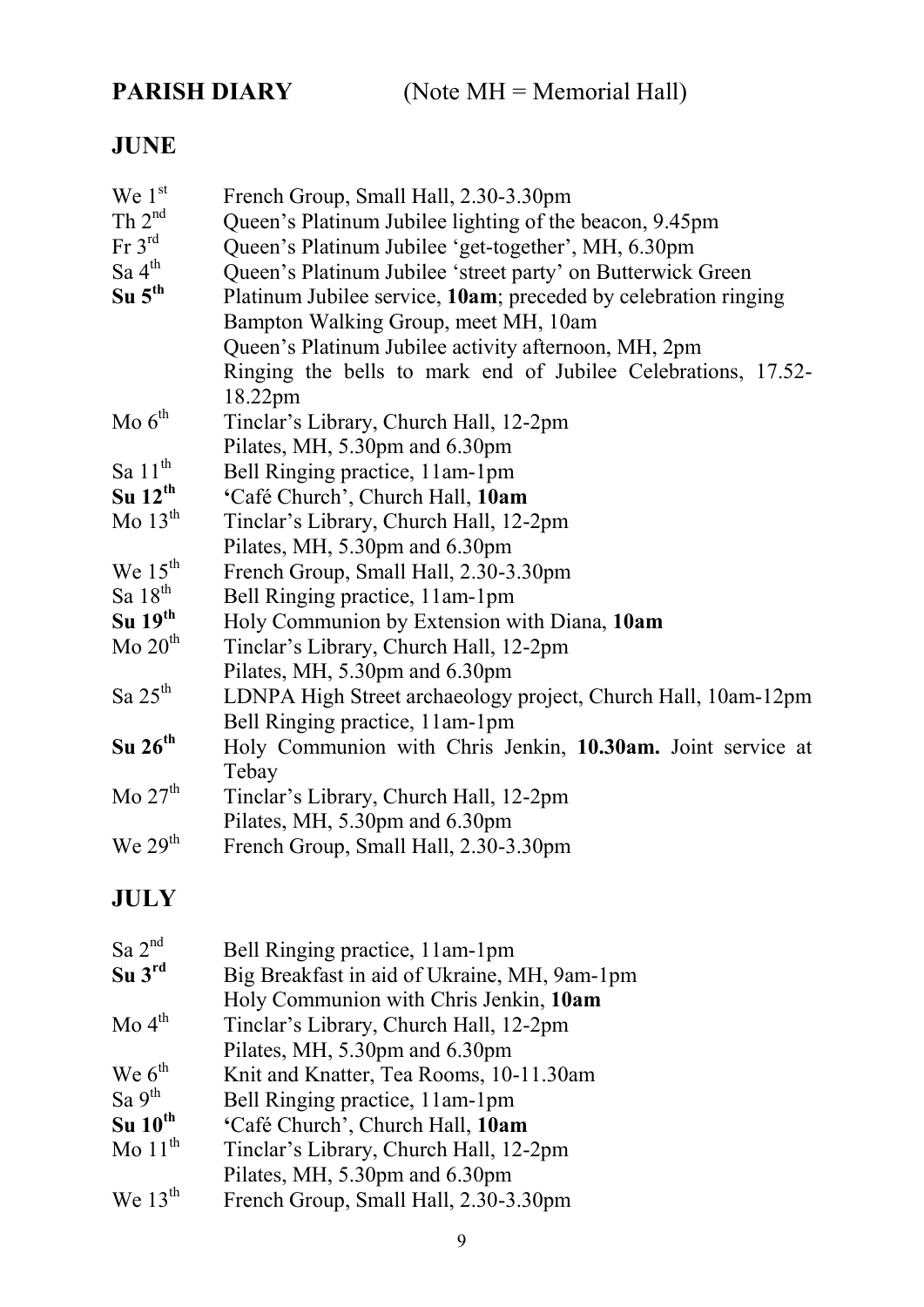PARISH DIARY (Note MH = Memorial Hall)

# JUNE

| We $1st$                          | French Group, Small Hall, 2.30-3.30pm                           |
|-----------------------------------|-----------------------------------------------------------------|
| Th $2^{nd}$                       | Queen's Platinum Jubilee lighting of the beacon, 9.45pm         |
| $\operatorname{Fr} 3^{\text{rd}}$ | Queen's Platinum Jubilee 'get-together', MH, 6.30pm             |
| Sa 4 <sup>th</sup>                | Queen's Platinum Jubilee 'street party' on Butterwick Green     |
| $Su$ $5th$                        | Platinum Jubilee service, 10am; preceded by celebration ringing |
|                                   | Bampton Walking Group, meet MH, 10am                            |
|                                   | Queen's Platinum Jubilee activity afternoon, MH, 2pm            |
|                                   | Ringing the bells to mark end of Jubilee Celebrations, 17.52-   |
|                                   | 18.22pm                                                         |
| Mo $6th$                          | Tinclar's Library, Church Hall, 12-2pm                          |
|                                   | Pilates, MH, 5.30pm and 6.30pm                                  |
| Sa $11^{\text{th}}$               | Bell Ringing practice, 11am-1pm                                 |
| $Su$ 12 <sup>th</sup>             | 'Café Church', Church Hall, 10am                                |
| Mo $13th$                         | Tinclar's Library, Church Hall, 12-2pm                          |
|                                   | Pilates, MH, 5.30pm and 6.30pm                                  |
| We $15^{\text{th}}$               | French Group, Small Hall, 2.30-3.30pm                           |
| Sa $18th$                         | Bell Ringing practice, 11am-1pm                                 |
| $Su$ 19 <sup>th</sup>             | Holy Communion by Extension with Diana, 10am                    |
| $Mo$ $20th$                       | Tinclar's Library, Church Hall, 12-2pm                          |
|                                   | Pilates, MH, 5.30pm and 6.30pm                                  |
| Sa $25th$                         | LDNPA High Street archaeology project, Church Hall, 10am-12pm   |
|                                   | Bell Ringing practice, 11am-1pm                                 |
| $Su$ 26 <sup>th</sup>             | Holy Communion with Chris Jenkin, 10.30am. Joint service at     |
|                                   | Tebay                                                           |
| Mo $27th$                         | Tinclar's Library, Church Hall, 12-2pm                          |
|                                   | Pilates, MH, 5.30pm and 6.30pm                                  |
| We $29th$                         | French Group, Small Hall, 2.30-3.30pm                           |

# JULY

| Sa $2^{nd}$                   | Bell Ringing practice, 11am-1pm              |
|-------------------------------|----------------------------------------------|
| $Su$ $3rd$                    | Big Breakfast in aid of Ukraine, MH, 9am-1pm |
|                               | Holy Communion with Chris Jenkin, 10am       |
| $\mathrm{Mo} 4^{\mathrm{th}}$ | Tinclar's Library, Church Hall, 12-2pm       |
|                               | Pilates, MH, 5.30pm and 6.30pm               |
| We $6^{\text{th}}$            | Knit and Knatter, Tea Rooms, 10-11.30am      |
| Sa $9^{th}$                   | Bell Ringing practice, 11am-1pm              |
| $Su$ 10 <sup>th</sup>         | 'Café Church', Church Hall, 10am             |
| Mo $11th$                     | Tinclar's Library, Church Hall, 12-2pm       |
|                               | Pilates, MH, 5.30pm and 6.30pm               |
| We $13^{th}$                  | French Group, Small Hall, 2.30-3.30pm        |
|                               |                                              |